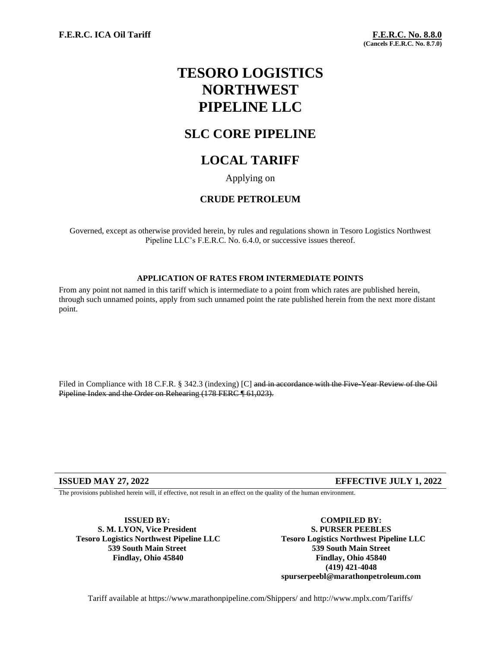# **TESORO LOGISTICS NORTHWEST PIPELINE LLC**

## **SLC CORE PIPELINE**

## **LOCAL TARIFF**

Applying on

#### **CRUDE PETROLEUM**

Governed, except as otherwise provided herein, by rules and regulations shown in Tesoro Logistics Northwest Pipeline LLC's F.E.R.C. No. 6.4.0, or successive issues thereof.

#### **APPLICATION OF RATES FROM INTERMEDIATE POINTS**

From any point not named in this tariff which is intermediate to a point from which rates are published herein, through such unnamed points, apply from such unnamed point the rate published herein from the next more distant point.

Filed in Compliance with 18 C.F.R. § 342.3 (indexing) [C] and in accordance with the Five-Year Review of the Oil Pipeline Index and the Order on Rehearing (178 FERC ¶ 61,023).

#### **ISSUED MAY 27, 2022 EFFECTIVE JULY 1, 2022**

The provisions published herein will, if effective, not result in an effect on the quality of the human environment.

**ISSUED BY: S. M. LYON, Vice President Tesoro Logistics Northwest Pipeline LLC 539 South Main Street Findlay, Ohio 45840**

**COMPILED BY: S. PURSER PEEBLES Tesoro Logistics Northwest Pipeline LLC 539 South Main Street Findlay, Ohio 45840 (419) 421-4048 spurserpeebl@marathonpetroleum.com**

Tariff available at https://www.marathonpipeline.com/Shippers/ and http://www.mplx.com/Tariffs/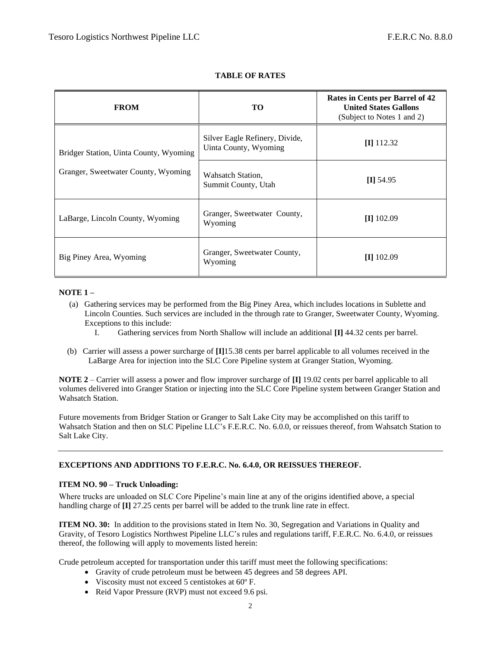| <b>FROM</b>                                                                   | TO                                                      | Rates in Cents per Barrel of 42<br><b>United States Gallons</b><br>(Subject to Notes 1 and 2) |
|-------------------------------------------------------------------------------|---------------------------------------------------------|-----------------------------------------------------------------------------------------------|
| Bridger Station, Uinta County, Wyoming<br>Granger, Sweetwater County, Wyoming | Silver Eagle Refinery, Divide,<br>Uinta County, Wyoming | $\Pi$ 112.32                                                                                  |
|                                                                               | Wahsatch Station,<br>Summit County, Utah                | $\Pi$ 54.95                                                                                   |
| LaBarge, Lincoln County, Wyoming                                              | Granger, Sweetwater County,<br>Wyoming                  | $[I]$ 102.09                                                                                  |
| Big Piney Area, Wyoming                                                       | Granger, Sweetwater County,<br>Wyoming                  | $\left[$ II] 102.09                                                                           |

#### **TABLE OF RATES**

#### **NOTE 1 –**

- (a) Gathering services may be performed from the Big Piney Area, which includes locations in Sublette and Lincoln Counties. Such services are included in the through rate to Granger, Sweetwater County, Wyoming. Exceptions to this include:
	- I. Gathering services from North Shallow will include an additional **[I]** 44.32 cents per barrel.
- (b) Carrier will assess a power surcharge of **[I]**15.38 cents per barrel applicable to all volumes received in the LaBarge Area for injection into the SLC Core Pipeline system at Granger Station, Wyoming.

**NOTE 2** – Carrier will assess a power and flow improver surcharge of **[I]** 19.02 cents per barrel applicable to all volumes delivered into Granger Station or injecting into the SLC Core Pipeline system between Granger Station and Wahsatch Station.

Future movements from Bridger Station or Granger to Salt Lake City may be accomplished on this tariff to Wahsatch Station and then on SLC Pipeline LLC's F.E.R.C. No. 6.0.0, or reissues thereof, from Wahsatch Station to Salt Lake City.

#### **EXCEPTIONS AND ADDITIONS TO F.E.R.C. No. 6.4.0, OR REISSUES THEREOF.**

#### **ITEM NO. 90 – Truck Unloading:**

Where trucks are unloaded on SLC Core Pipeline's main line at any of the origins identified above, a special handling charge of **[I]** 27.25 cents per barrel will be added to the trunk line rate in effect.

**ITEM NO. 30:** In addition to the provisions stated in Item No. 30, Segregation and Variations in Quality and Gravity, of Tesoro Logistics Northwest Pipeline LLC's rules and regulations tariff, F.E.R.C. No. 6.4.0, or reissues thereof, the following will apply to movements listed herein:

Crude petroleum accepted for transportation under this tariff must meet the following specifications:

- Gravity of crude petroleum must be between 45 degrees and 58 degrees API.
- Viscosity must not exceed 5 centistokes at 60º F.
- Reid Vapor Pressure (RVP) must not exceed 9.6 psi.